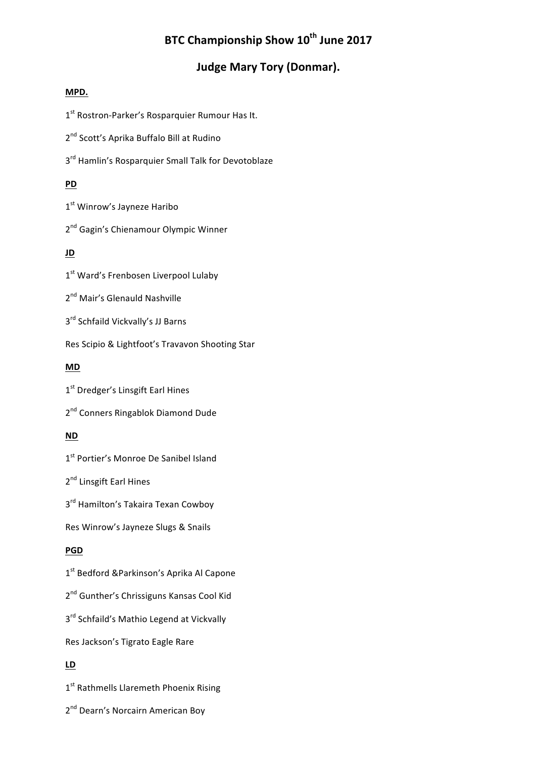# **BTC Championship Show 10<sup>th</sup> June 2017**

# **Judge Mary Tory (Donmar).**

## **MPD.**

1<sup>st</sup> Rostron-Parker's Rosparquier Rumour Has It.

2<sup>nd</sup> Scott's Aprika Buffalo Bill at Rudino

3<sup>rd</sup> Hamlin's Rosparquier Small Talk for Devotoblaze

# **PD**

1<sup>st</sup> Winrow's Jayneze Haribo

2<sup>nd</sup> Gagin's Chienamour Olympic Winner

# **JD**

1<sup>st</sup> Ward's Frenbosen Liverpool Lulaby

2<sup>nd</sup> Mair's Glenauld Nashville

3<sup>rd</sup> Schfaild Vickvally's JJ Barns

Res Scipio & Lightfoot's Travavon Shooting Star

# **MD**

1<sup>st</sup> Dredger's Linsgift Earl Hines

2<sup>nd</sup> Conners Ringablok Diamond Dude

# **ND**

1<sup>st</sup> Portier's Monroe De Sanibel Island

2<sup>nd</sup> Linsgift Earl Hines

3<sup>rd</sup> Hamilton's Takaira Texan Cowboy

Res Winrow's Jayneze Slugs & Snails

# **PGD**

1<sup>st</sup> Bedford &Parkinson's Aprika Al Capone

2<sup>nd</sup> Gunther's Chrissiguns Kansas Cool Kid

3<sup>rd</sup> Schfaild's Mathio Legend at Vickvally

Res Jackson's Tigrato Eagle Rare

# **LD**

1<sup>st</sup> Rathmells Llaremeth Phoenix Rising

2<sup>nd</sup> Dearn's Norcairn American Boy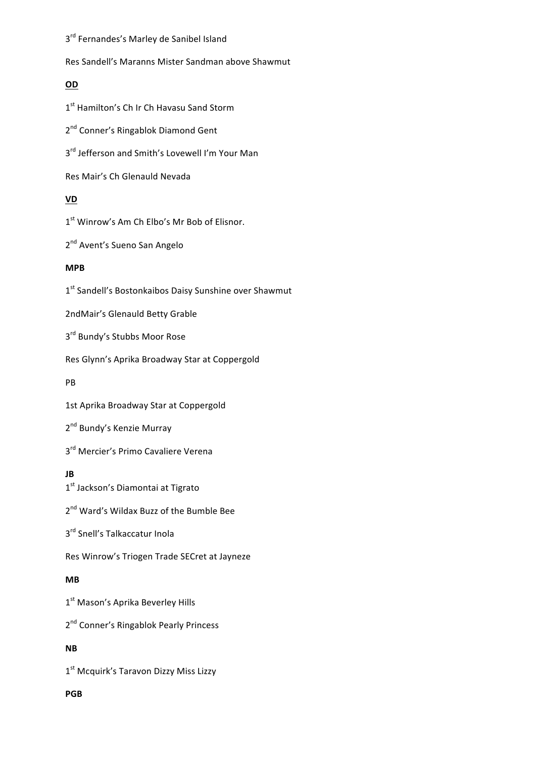3<sup>rd</sup> Fernandes's Marley de Sanibel Island

Res Sandell's Maranns Mister Sandman above Shawmut

# **OD**

1<sup>st</sup> Hamilton's Ch Ir Ch Havasu Sand Storm

2<sup>nd</sup> Conner's Ringablok Diamond Gent

3<sup>rd</sup> Jefferson and Smith's Lovewell I'm Your Man

Res Mair's Ch Glenauld Nevada

# **VD**

1<sup>st</sup> Winrow's Am Ch Elbo's Mr Bob of Elisnor.

2<sup>nd</sup> Avent's Sueno San Angelo

## **MPB**

1<sup>st</sup> Sandell's Bostonkaibos Daisy Sunshine over Shawmut

2ndMair's Glenauld Betty Grable

3<sup>rd</sup> Bundy's Stubbs Moor Rose

Res Glynn's Aprika Broadway Star at Coppergold

### PB

1st Aprika Broadway Star at Coppergold

2<sup>nd</sup> Bundy's Kenzie Murray

3<sup>rd</sup> Mercier's Primo Cavaliere Verena

# **JB**

1<sup>st</sup> Jackson's Diamontai at Tigrato

2<sup>nd</sup> Ward's Wildax Buzz of the Bumble Bee

3<sup>rd</sup> Snell's Talkaccatur Inola

Res Winrow's Triogen Trade SECret at Jayneze

# **MB**

1<sup>st</sup> Mason's Aprika Beverley Hills

2<sup>nd</sup> Conner's Ringablok Pearly Princess

# **NB**

1<sup>st</sup> Mcquirk's Taravon Dizzy Miss Lizzy

### **PGB**